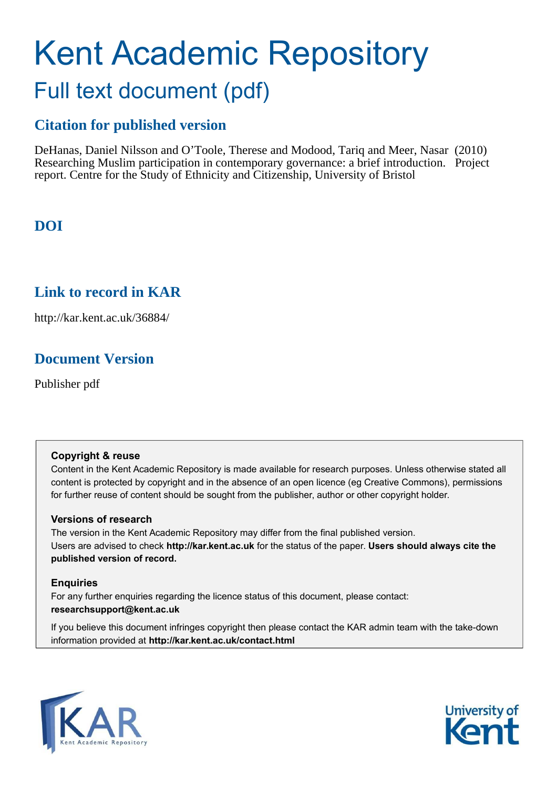# Kent Academic Repository Full text document (pdf)

### **Citation for published version**

DeHanas, Daniel Nilsson and O'Toole, Therese and Modood, Tariq and Meer, Nasar (2010) Researching Muslim participation in contemporary governance: a brief introduction. Project report. Centre for the Study of Ethnicity and Citizenship, University of Bristol

### **DOI**

### **Link to record in KAR**

http://kar.kent.ac.uk/36884/

### **Document Version**

Publisher pdf

#### **Copyright & reuse**

Content in the Kent Academic Repository is made available for research purposes. Unless otherwise stated all content is protected by copyright and in the absence of an open licence (eg Creative Commons), permissions for further reuse of content should be sought from the publisher, author or other copyright holder.

#### **Versions of research**

The version in the Kent Academic Repository may differ from the final published version. Users are advised to check **http://kar.kent.ac.uk** for the status of the paper. **Users should always cite the published version of record.**

#### **Enquiries**

For any further enquiries regarding the licence status of this document, please contact: **researchsupport@kent.ac.uk**

If you believe this document infringes copyright then please contact the KAR admin team with the take-down information provided at **http://kar.kent.ac.uk/contact.html**



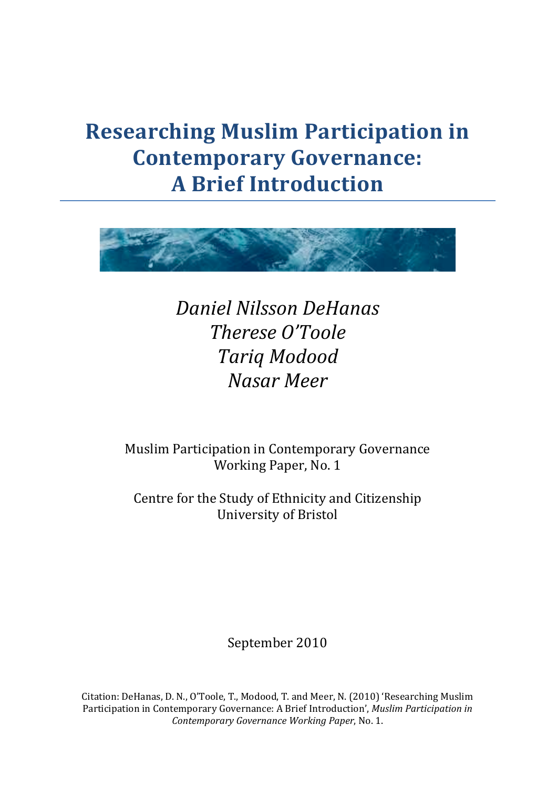## **Researching Muslim Participation in Contemporary Governance: A Brief Introduction**



**Daniel Nilsson DeHanas** Therese O'Toole **Tariq Modood Nasar Meer** 

Muslim Participation in Contemporary Governance Working Paper, No. 1

Centre for the Study of Ethnicity and Citizenship **University of Bristol** 

September 2010

Citation: DeHanas, D. N., O'Toole, T., Modood, T. and Meer, N. (2010) 'Researching Muslim Participation in Contemporary Governance: A Brief Introduction', Muslim Participation in Contemporary Governance Working Paper, No. 1.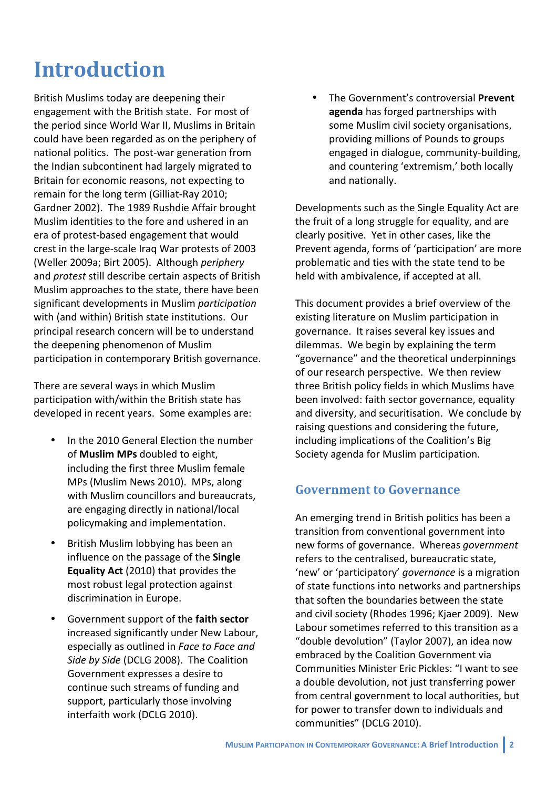## **Introduction**

British Muslims today are deepening their engagement with the British state. For most of the period since World War II, Muslims in Britain could have been regarded as on the periphery of national politics. The post-war generation from the Indian subcontinent had largely migrated to Britain for economic reasons, not expecting to remain for the long term (Gilliat-Ray 2010; Gardner 2002). The 1989 Rushdie Affair brought Muslim identities to the fore and ushered in an era of protest-based engagement that would crest in the large-scale Iraq War protests of 2003 (Weller 2009a; Birt 2005). Although periphery and protest still describe certain aspects of British Muslim approaches to the state, there have been significant developments in Muslim participation with (and within) British state institutions. Our principal research concern will be to understand the deepening phenomenon of Muslim participation in contemporary British governance.

There are several ways in which Muslim participation with/within the British state has developed in recent years. Some examples are:

- In the 2010 General Flection the number of Muslim MPs doubled to eight. including the first three Muslim female MPs (Muslim News 2010). MPs, along with Muslim councillors and bureaucrats, are engaging directly in national/local policymaking and implementation.
- British Muslim lobbying has been an influence on the passage of the Single Equality Act (2010) that provides the most robust legal protection against discrimination in Europe.
- Government support of the faith sector increased significantly under New Labour, especially as outlined in Face to Face and Side by Side (DCLG 2008). The Coalition Government expresses a desire to continue such streams of funding and support, particularly those involving interfaith work (DCLG 2010).

The Government's controversial Prevent agenda has forged partnerships with some Muslim civil society organisations, providing millions of Pounds to groups engaged in dialogue, community-building, and countering 'extremism,' both locally and nationally.

Developments such as the Single Equality Act are the fruit of a long struggle for equality, and are clearly positive. Yet in other cases, like the Prevent agenda, forms of 'participation' are more problematic and ties with the state tend to be held with ambivalence, if accepted at all.

This document provides a brief overview of the existing literature on Muslim participation in governance. It raises several key issues and dilemmas. We begin by explaining the term "governance" and the theoretical underpinnings of our research perspective. We then review three British policy fields in which Muslims have been involved: faith sector governance, equality and diversity, and securitisation. We conclude by raising questions and considering the future, including implications of the Coalition's Big Society agenda for Muslim participation.

### **Government to Governance**

An emerging trend in British politics has been a transition from conventional government into new forms of governance. Whereas government refers to the centralised, bureaucratic state, 'new' or 'participatory' governance is a migration of state functions into networks and partnerships that soften the boundaries between the state and civil society (Rhodes 1996; Kjaer 2009). New Labour sometimes referred to this transition as a "double devolution" (Taylor 2007), an idea now embraced by the Coalition Government via Communities Minister Eric Pickles: "I want to see a double devolution, not just transferring power from central government to local authorities, but for power to transfer down to individuals and communities" (DCLG 2010).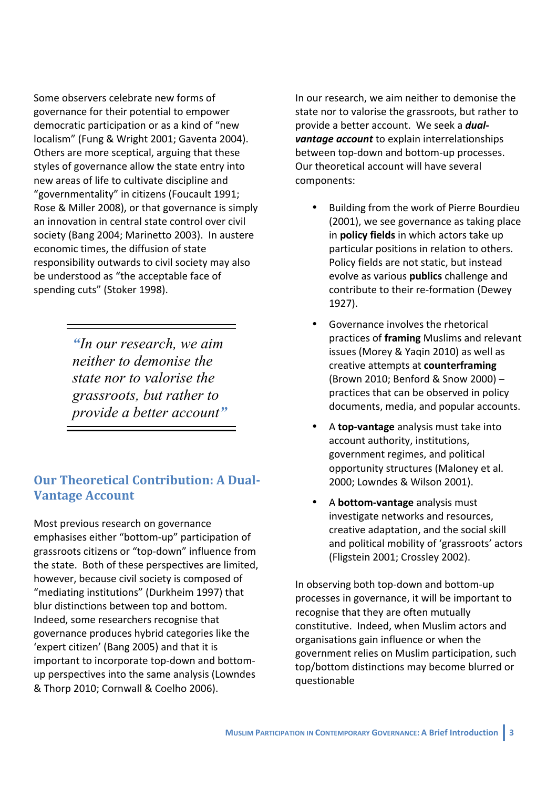Some observers celebrate new forms of governance for their potential to empower democratic participation or as a kind of "new localism" (Fung & Wright 2001: Gaventa 2004). Others are more sceptical, arguing that these styles of governance allow the state entry into new areas of life to cultivate discipline and "governmentality" in citizens (Foucault 1991; Rose & Miller 2008), or that governance is simply an innovation in central state control over civil society (Bang 2004; Marinetto 2003). In austere economic times, the diffusion of state responsibility outwards to civil society may also be understood as "the acceptable face of spending cuts" (Stoker 1998).

> "In our research, we aim neither to demonise the state nor to valorise the grassroots, but rather to provide a better account"

### **Our Theoretical Contribution: A Dual-Vantage Account**

Most previous research on governance emphasises either "bottom-up" participation of grassroots citizens or "top-down" influence from the state. Both of these perspectives are limited, however, because civil society is composed of "mediating institutions" (Durkheim 1997) that blur distinctions between top and bottom. Indeed, some researchers recognise that governance produces hybrid categories like the 'expert citizen' (Bang 2005) and that it is important to incorporate top-down and bottomup perspectives into the same analysis (Lowndes & Thorp 2010; Cornwall & Coelho 2006).

In our research, we aim neither to demonise the state nor to valorise the grassroots, but rather to provide a better account. We seek a *dual***vantage account** to explain interrelationships between top-down and bottom-up processes. Our theoretical account will have several components:

- Building from the work of Pierre Bourdieu (2001), we see governance as taking place in policy fields in which actors take up particular positions in relation to others. Policy fields are not static, but instead evolve as various publics challenge and contribute to their re-formation (Dewey 1927).
- Governance involves the rhetorical practices of framing Muslims and relevant issues (Morey & Yagin 2010) as well as creative attempts at counterframing (Brown 2010; Benford & Snow 2000) practices that can be observed in policy documents, media, and popular accounts.
- A top-vantage analysis must take into account authority, institutions, government regimes, and political opportunity structures (Maloney et al. 2000; Lowndes & Wilson 2001).
- A bottom-vantage analysis must investigate networks and resources, creative adaptation, and the social skill and political mobility of 'grassroots' actors (Fligstein 2001; Crossley 2002).

In observing both top-down and bottom-up processes in governance, it will be important to recognise that they are often mutually constitutive. Indeed, when Muslim actors and organisations gain influence or when the government relies on Muslim participation, such top/bottom distinctions may become blurred or questionable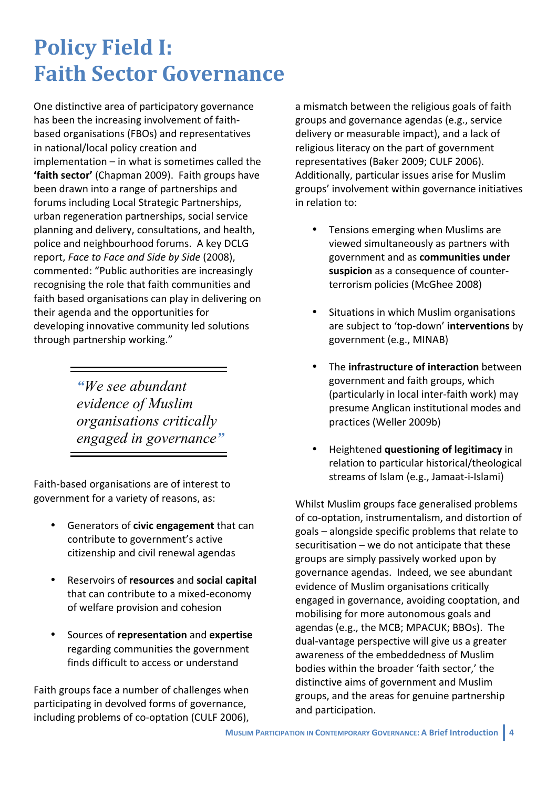## **Policy Field I: Faith Sector Governance**

One distinctive area of participatory governance has been the increasing involvement of faithbased organisations (FBOs) and representatives in national/local policy creation and implementation  $-$  in what is sometimes called the 'faith sector' (Chapman 2009). Faith groups have been drawn into a range of partnerships and forums including Local Strategic Partnerships, urban regeneration partnerships, social service planning and delivery, consultations, and health, police and neighbourhood forums. A key DCLG report, Face to Face and Side by Side (2008), commented: "Public authorities are increasingly recognising the role that faith communities and faith based organisations can play in delivering on their agenda and the opportunities for developing innovative community led solutions through partnership working."

> "We see abundant evidence of Muslim organisations critically engaged in governance"

Faith-based organisations are of interest to government for a variety of reasons, as:

- Generators of civic engagement that can contribute to government's active citizenship and civil renewal agendas
- Reservoirs of resources and social capital that can contribute to a mixed-economy of welfare provision and cohesion
- Sources of representation and expertise regarding communities the government finds difficult to access or understand

Faith groups face a number of challenges when participating in devolved forms of governance, including problems of co-optation (CULF 2006),

a mismatch between the religious goals of faith groups and governance agendas (e.g., service delivery or measurable impact), and a lack of religious literacy on the part of government representatives (Baker 2009; CULF 2006). Additionally, particular issues arise for Muslim groups' involvement within governance initiatives in relation to:

- Tensions emerging when Muslims are viewed simultaneously as partners with government and as communities under suspicion as a consequence of counterterrorism policies (McGhee 2008)
- Situations in which Muslim organisations are subject to 'top-down' interventions by government (e.g., MINAB)
- The infrastructure of interaction between government and faith groups, which (particularly in local inter-faith work) may presume Anglican institutional modes and practices (Weller 2009b)
- Heightened questioning of legitimacy in relation to particular historical/theological streams of Islam (e.g., Jamaat-i-Islami)

Whilst Muslim groups face generalised problems of co-optation, instrumentalism, and distortion of goals – alongside specific problems that relate to securitisation - we do not anticipate that these groups are simply passively worked upon by governance agendas. Indeed, we see abundant evidence of Muslim organisations critically engaged in governance, avoiding cooptation, and mobilising for more autonomous goals and agendas (e.g., the MCB; MPACUK; BBOs). The dual-vantage perspective will give us a greater awareness of the embeddedness of Muslim bodies within the broader 'faith sector,' the distinctive aims of government and Muslim groups, and the areas for genuine partnership and participation.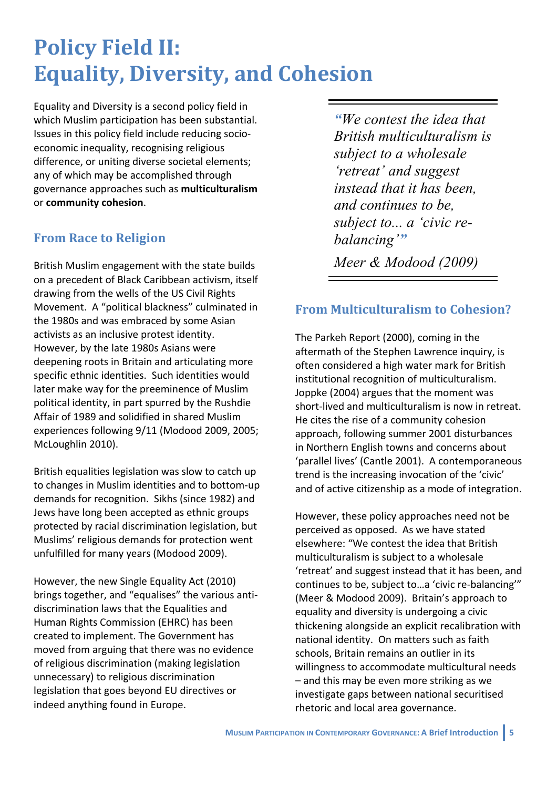## **Policy Field II: Equality, Diversity, and Cohesion**

Equality and Diversity is a second policy field in which Muslim participation has been substantial. Issues in this policy field include reducing socioeconomic inequality, recognising religious difference, or uniting diverse societal elements; any of which may be accomplished through governance approaches such as multiculturalism or community cohesion.

### **From Race to Religion**

British Muslim engagement with the state builds on a precedent of Black Caribbean activism, itself drawing from the wells of the US Civil Rights Movement. A "political blackness" culminated in the 1980s and was embraced by some Asian activists as an inclusive protest identity. However, by the late 1980s Asians were deepening roots in Britain and articulating more specific ethnic identities. Such identities would later make way for the preeminence of Muslim political identity, in part spurred by the Rushdie Affair of 1989 and solidified in shared Muslim experiences following 9/11 (Modood 2009, 2005; McLoughlin 2010).

British equalities legislation was slow to catch up to changes in Muslim identities and to bottom-up demands for recognition. Sikhs (since 1982) and Jews have long been accepted as ethnic groups protected by racial discrimination legislation, but Muslims' religious demands for protection went unfulfilled for many years (Modood 2009).

However, the new Single Equality Act (2010) brings together, and "equalises" the various antidiscrimination laws that the Equalities and Human Rights Commission (EHRC) has been created to implement. The Government has moved from arguing that there was no evidence of religious discrimination (making legislation unnecessary) to religious discrimination legislation that goes beyond EU directives or indeed anything found in Europe.

"We contest the idea that British multiculturalism is subject to a wholesale 'retreat' and suggest instead that it has been. and continues to be. subject to... a 'civic rebalancing" Meer & Modood (2009)

### **From Multiculturalism to Cohesion?**

The Parkeh Report (2000), coming in the aftermath of the Stephen Lawrence inquiry, is often considered a high water mark for British institutional recognition of multiculturalism. Joppke (2004) argues that the moment was short-lived and multiculturalism is now in retreat. He cites the rise of a community cohesion approach, following summer 2001 disturbances in Northern English towns and concerns about 'parallel lives' (Cantle 2001). A contemporaneous trend is the increasing invocation of the 'civic' and of active citizenship as a mode of integration.

However, these policy approaches need not be perceived as opposed. As we have stated elsewhere: "We contest the idea that British multiculturalism is subject to a wholesale 'retreat' and suggest instead that it has been, and continues to be, subject to ... a 'civic re-balancing'" (Meer & Modood 2009). Britain's approach to equality and diversity is undergoing a civic thickening alongside an explicit recalibration with national identity. On matters such as faith schools, Britain remains an outlier in its willingness to accommodate multicultural needs - and this may be even more striking as we investigate gaps between national securitised rhetoric and local area governance.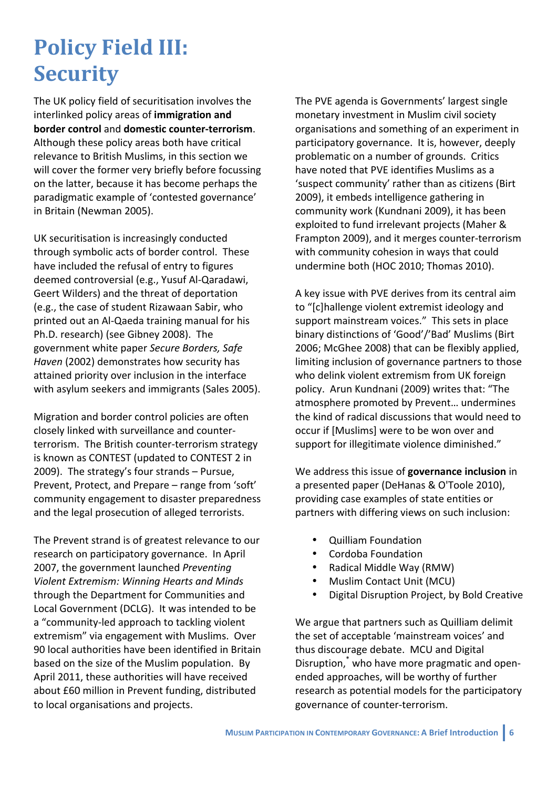## **Policy Field III: Security**

The UK policy field of securitisation involves the interlinked policy areas of immigration and border control and domestic counter-terrorism. Although these policy areas both have critical relevance to British Muslims, in this section we will cover the former very briefly before focussing on the latter, because it has become perhaps the paradigmatic example of 'contested governance' in Britain (Newman 2005).

UK securitisation is increasingly conducted through symbolic acts of border control. These have included the refusal of entry to figures deemed controversial (e.g., Yusuf Al-Qaradawi, Geert Wilders) and the threat of deportation (e.g., the case of student Rizawaan Sabir, who printed out an Al-Qaeda training manual for his Ph.D. research) (see Gibney 2008). The government white paper Secure Borders, Safe Haven (2002) demonstrates how security has attained priority over inclusion in the interface with asylum seekers and immigrants (Sales 2005).

Migration and border control policies are often closely linked with surveillance and counterterrorism. The British counter-terrorism strategy is known as CONTEST (updated to CONTEST 2 in 2009). The strategy's four strands - Pursue, Prevent, Protect, and Prepare - range from 'soft' community engagement to disaster preparedness and the legal prosecution of alleged terrorists.

The Prevent strand is of greatest relevance to our research on participatory governance. In April 2007, the government launched Preventing Violent Extremism: Winning Hearts and Minds through the Department for Communities and Local Government (DCLG). It was intended to be a "community-led approach to tackling violent extremism" via engagement with Muslims. Over 90 local authorities have been identified in Britain based on the size of the Muslim population. By April 2011, these authorities will have received about £60 million in Prevent funding, distributed to local organisations and projects.

The PVE agenda is Governments' largest single monetary investment in Muslim civil society organisations and something of an experiment in participatory governance. It is, however, deeply problematic on a number of grounds. Critics have noted that PVF identifies Muslims as a 'suspect community' rather than as citizens (Birt 2009), it embeds intelligence gathering in community work (Kundnani 2009), it has been exploited to fund irrelevant projects (Maher & Frampton 2009), and it merges counter-terrorism with community cohesion in ways that could undermine both (HOC 2010; Thomas 2010).

A key issue with PVE derives from its central aim to "[c]hallenge violent extremist ideology and support mainstream voices." This sets in place binary distinctions of 'Good'/'Bad' Muslims (Birt 2006; McGhee 2008) that can be flexibly applied, limiting inclusion of governance partners to those who delink violent extremism from UK foreign policy. Arun Kundnani (2009) writes that: "The atmosphere promoted by Prevent... undermines the kind of radical discussions that would need to occur if [Muslims] were to be won over and support for illegitimate violence diminished."

We address this issue of governance inclusion in a presented paper (DeHanas & O'Toole 2010), providing case examples of state entities or partners with differing views on such inclusion:

- **Quilliam Foundation**
- $\bullet$ Cordoba Foundation
- Radical Middle Way (RMW)
- Muslim Contact Unit (MCU)
- Digital Disruption Project, by Bold Creative

We argue that partners such as Quilliam delimit the set of acceptable 'mainstream voices' and thus discourage debate. MCU and Digital Disruption, who have more pragmatic and openended approaches, will be worthy of further research as potential models for the participatory governance of counter-terrorism.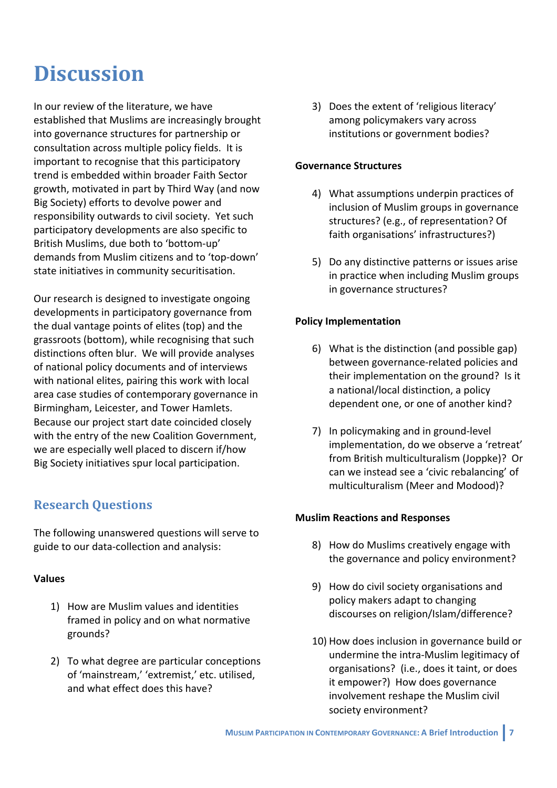## **Discussion**

In our review of the literature, we have established that Muslims are increasingly brought into governance structures for partnership or consultation across multiple policy fields. It is important to recognise that this participatory trend is embedded within broader Faith Sector growth, motivated in part by Third Way (and now Big Society) efforts to devolve power and responsibility outwards to civil society. Yet such participatory developments are also specific to British Muslims, due both to 'bottom-up' demands from Muslim citizens and to 'top-down' state initiatives in community securitisation.

Our research is designed to investigate ongoing developments in participatory governance from the dual vantage points of elites (top) and the grassroots (bottom), while recognising that such distinctions often blur. We will provide analyses of national policy documents and of interviews with national elites, pairing this work with local area case studies of contemporary governance in Birmingham, Leicester, and Tower Hamlets. Because our project start date coincided closely with the entry of the new Coalition Government, we are especially well placed to discern if/how Big Society initiatives spur local participation.

### **Research Questions**

The following unanswered questions will serve to guide to our data-collection and analysis:

#### **Values**

- 1) How are Muslim values and identities framed in policy and on what normative grounds?
- 2) To what degree are particular conceptions of 'mainstream,' 'extremist,' etc. utilised, and what effect does this have?

3) Does the extent of 'religious literacy' among policymakers vary across institutions or government bodies?

#### **Governance Structures**

- 4) What assumptions underpin practices of inclusion of Muslim groups in governance structures? (e.g., of representation? Of faith organisations' infrastructures?)
- 5) Do any distinctive patterns or issues arise in practice when including Muslim groups in governance structures?

#### **Policy Implementation**

- 6) What is the distinction (and possible gap) between governance-related policies and their implementation on the ground? Is it a national/local distinction, a policy dependent one, or one of another kind?
- 7) In policymaking and in ground-level implementation, do we observe a 'retreat' from British multiculturalism (Joppke)? Or can we instead see a 'civic rebalancing' of multiculturalism (Meer and Modood)?

#### **Muslim Reactions and Responses**

- 8) How do Muslims creatively engage with the governance and policy environment?
- 9) How do civil society organisations and policy makers adapt to changing discourses on religion/Islam/difference?
- 10) How does inclusion in governance build or undermine the intra-Muslim legitimacy of organisations? (i.e., does it taint, or does it empower?) How does governance involvement reshape the Muslim civil society environment?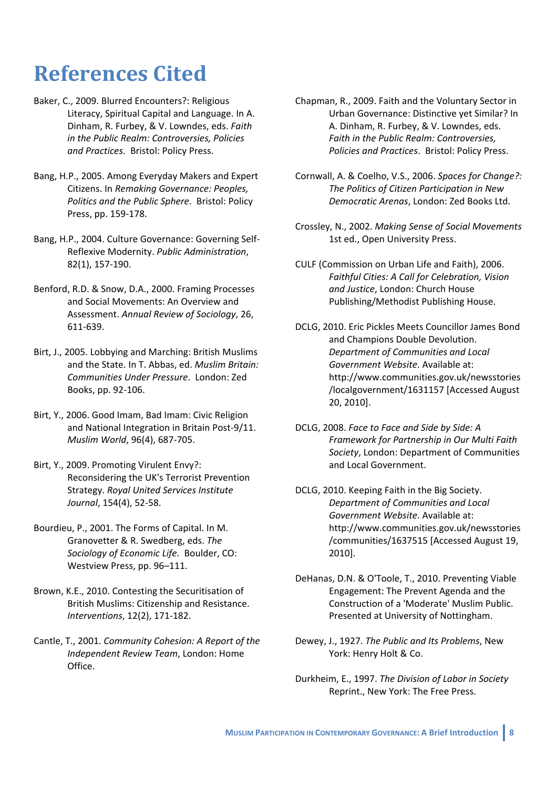## **References Cited**

- Baker, C., 2009. Blurred Encounters?: Religious Literacy, Spiritual Capital and Language. In A. Dinham, R. Furbey, & V. Lowndes, eds. Faith in the Public Realm: Controversies, Policies and Practices. Bristol: Policy Press.
- Bang, H.P., 2005. Among Everyday Makers and Expert Citizens. In Remaking Governance: Peoples, Politics and the Public Sphere. Bristol: Policy Press, pp. 159-178.
- Bang, H.P., 2004. Culture Governance: Governing Self-Reflexive Modernity, Public Administration. 82(1), 157-190.
- Benford, R.D. & Snow, D.A., 2000. Framing Processes and Social Movements: An Overview and Assessment. Annual Review of Sociology, 26, 611-639.
- Birt, J., 2005. Lobbying and Marching: British Muslims and the State. In T. Abbas. ed. Muslim Britain: Communities Under Pressure, London: Zed Books, pp. 92-106.
- Birt, Y., 2006. Good Imam, Bad Imam: Civic Religion and National Integration in Britain Post-9/11. Muslim World, 96(4), 687-705.
- Birt, Y., 2009. Promoting Virulent Envy?: Reconsidering the UK's Terrorist Prevention Strategy. Royal United Services Institute Journal, 154(4), 52-58.
- Bourdieu. P., 2001. The Forms of Capital. In M. Granovetter & R. Swedberg, eds. The Sociology of Economic Life. Boulder, CO: Westview Press, pp. 96-111.
- Brown, K.E., 2010. Contesting the Securitisation of British Muslims: Citizenship and Resistance. Interventions, 12(2), 171-182.
- Cantle, T., 2001, Community Cohesion: A Report of the Independent Review Team, London: Home Office.
- Chapman, R., 2009. Faith and the Voluntary Sector in Urban Governance: Distinctive yet Similar? In A. Dinham, R. Furbey, & V. Lowndes, eds. Faith in the Public Realm: Controversies, Policies and Practices. Bristol: Policy Press.
- Cornwall, A. & Coelho, V.S., 2006. Spaces for Change?: The Politics of Citizen Participation in New Democratic Arenas, London: Zed Books Ltd.
- Crossley, N., 2002. Makina Sense of Social Movements 1st ed., Open University Press.
- CULF (Commission on Urban Life and Faith), 2006. Faithful Cities: A Call for Celebration, Vision and Justice, London: Church House Publishing/Methodist Publishing House.
- DCLG, 2010. Eric Pickles Meets Councillor James Bond and Champions Double Devolution. Department of Communities and Local Government Website. Available at: http://www.communities.gov.uk/newsstories /localgovernment/1631157 [Accessed August 20, 2010].
- DCLG, 2008. Face to Face and Side by Side: A Framework for Partnership in Our Multi Faith Society, London: Department of Communities and Local Government.
- DCLG, 2010. Keeping Faith in the Big Society. Department of Communities and Local Government Website. Available at: http://www.communities.gov.uk/newsstories /communities/1637515 [Accessed August 19, 2010].
- DeHanas, D.N. & O'Toole, T., 2010. Preventing Viable Engagement: The Prevent Agenda and the Construction of a 'Moderate' Muslim Public. Presented at University of Nottingham.
- Dewey, J., 1927. The Public and Its Problems. New York: Henry Holt & Co.
- Durkheim, E., 1997. The Division of Labor in Society Reprint., New York: The Free Press.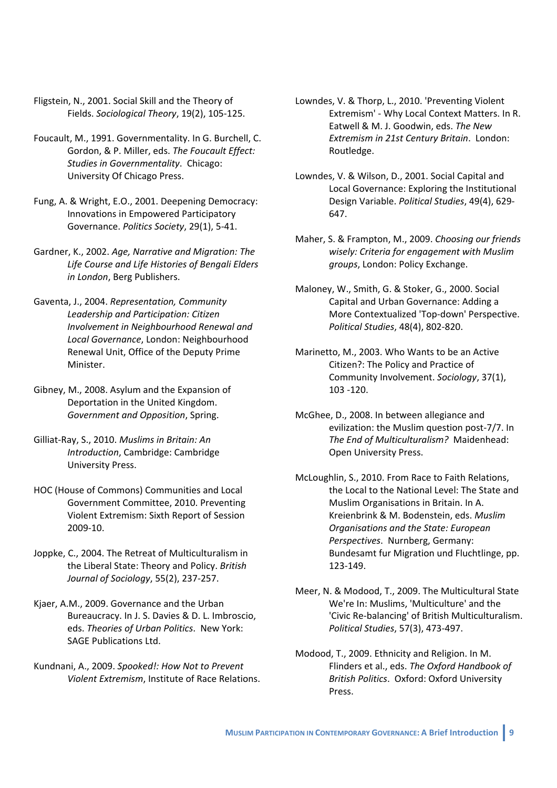- Fligstein, N., 2001. Social Skill and the Theory of Fields. Sociological Theory, 19(2), 105-125.
- Foucault, M., 1991. Governmentality. In G. Burchell, C. Gordon, & P. Miller, eds. The Foucault Effect: Studies in Governmentality. Chicago: University Of Chicago Press.
- Fung, A. & Wright, E.O., 2001. Deepening Democracy: Innovations in Empowered Participatory Governance. Politics Society, 29(1), 5-41.
- Gardner, K., 2002, Age, Narrative and Migration: The Life Course and Life Histories of Bengali Elders in London, Berg Publishers.
- Gaventa, J., 2004. Representation, Community Leadership and Participation: Citizen Involvement in Neighbourhood Renewal and Local Governance, London: Neighbourhood Renewal Unit, Office of the Deputy Prime Minister.
- Gibney, M., 2008. Asylum and the Expansion of Deportation in the United Kingdom. Government and Opposition, Spring.
- Gilliat-Ray, S., 2010. Muslims in Britain: An Introduction, Cambridge: Cambridge University Press.
- HOC (House of Commons) Communities and Local Government Committee, 2010. Preventing Violent Extremism: Sixth Report of Session 2009-10.
- Joppke, C., 2004. The Retreat of Multiculturalism in the Liberal State: Theory and Policy. British Journal of Sociology, 55(2), 237-257.
- Kjaer, A.M., 2009. Governance and the Urban Bureaucracy. In J. S. Davies & D. L. Imbroscio, eds. Theories of Urban Politics. New York: **SAGF Publications Ltd.**
- Kundnani, A., 2009. Spooked!: How Not to Prevent Violent Extremism, Institute of Race Relations.
- Lowndes, V. & Thorp, L., 2010. 'Preventing Violent Extremism' - Why Local Context Matters. In R. Eatwell & M. J. Goodwin, eds. The New Extremism in 21st Century Britain. London: Routledge.
- Lowndes, V. & Wilson, D., 2001. Social Capital and Local Governance: Exploring the Institutional Design Variable. Political Studies, 49(4), 629-647.
- Maher, S. & Frampton, M., 2009. Choosing our friends wiselv: Criteria for engagement with Muslim groups, London: Policy Exchange.
- Maloney, W., Smith, G. & Stoker, G., 2000. Social Capital and Urban Governance: Adding a More Contextualized 'Top-down' Perspective. Political Studies, 48(4), 802-820.
- Marinetto, M., 2003. Who Wants to be an Active Citizen?: The Policy and Practice of Community Involvement. Sociology, 37(1),  $103 - 120.$
- McGhee, D., 2008. In between allegiance and evilization: the Muslim question post-7/7. In The End of Multiculturalism? Maidenhead: Open University Press.
- McLoughlin, S., 2010. From Race to Faith Relations. the Local to the National Level: The State and Muslim Organisations in Britain. In A. Kreienbrink & M. Bodenstein, eds. Muslim Organisations and the State: European Perspectives. Nurnberg, Germany: Bundesamt fur Migration und Fluchtlinge, pp. 123-149.
- Meer, N. & Modood, T., 2009. The Multicultural State We're In: Muslims, 'Multiculture' and the 'Civic Re-balancing' of British Multiculturalism. Political Studies, 57(3), 473-497.
- Modood, T., 2009. Ethnicity and Religion. In M. Flinders et al., eds. The Oxford Handbook of British Politics. Oxford: Oxford University Press.